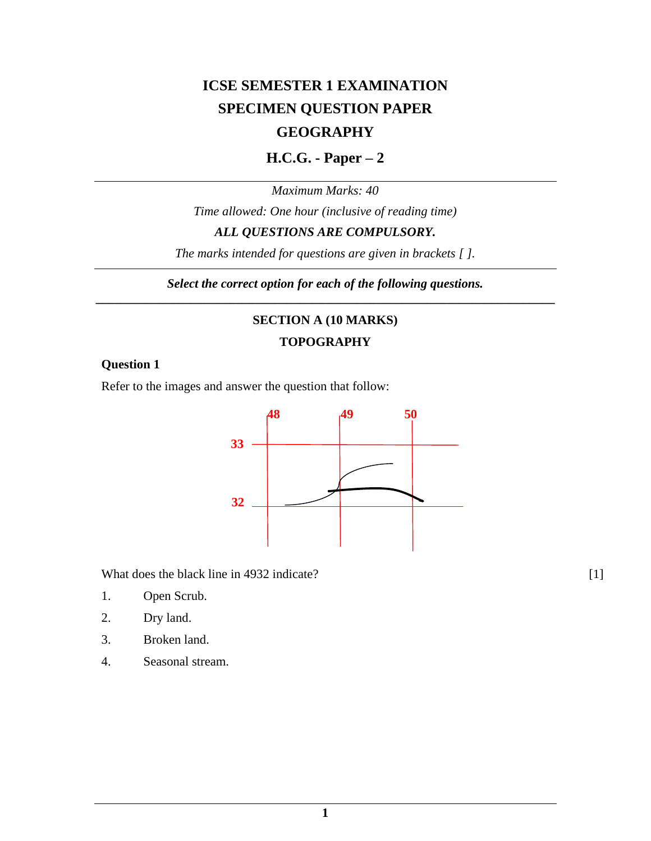# **ICSE SEMESTER 1 EXAMINATION SPECIMEN QUESTION PAPER GEOGRAPHY**

### **H.C.G. - Paper – 2**

*Maximum Marks: 40*

*Time allowed: One hour (inclusive of reading time)*

#### *ALL QUESTIONS ARE COMPULSORY.*

*The marks intended for questions are given in brackets [ ].*

*Select the correct option for each of the following questions.* **\_\_\_\_\_\_\_\_\_\_\_\_\_\_\_\_\_\_\_\_\_\_\_\_\_\_\_\_\_\_\_\_\_\_\_\_\_\_\_\_\_\_\_\_\_\_\_\_\_\_\_\_\_\_\_\_\_\_\_\_\_\_\_\_\_\_\_\_\_\_\_\_**

## **SECTION A (10 MARKS) TOPOGRAPHY**

### **Question 1**

Refer to the images and answer the question that follow:



What does the black line in 4932 indicate? [1]

- 1. Open Scrub.
- 2. Dry land.
- 3. Broken land.
- 4. Seasonal stream.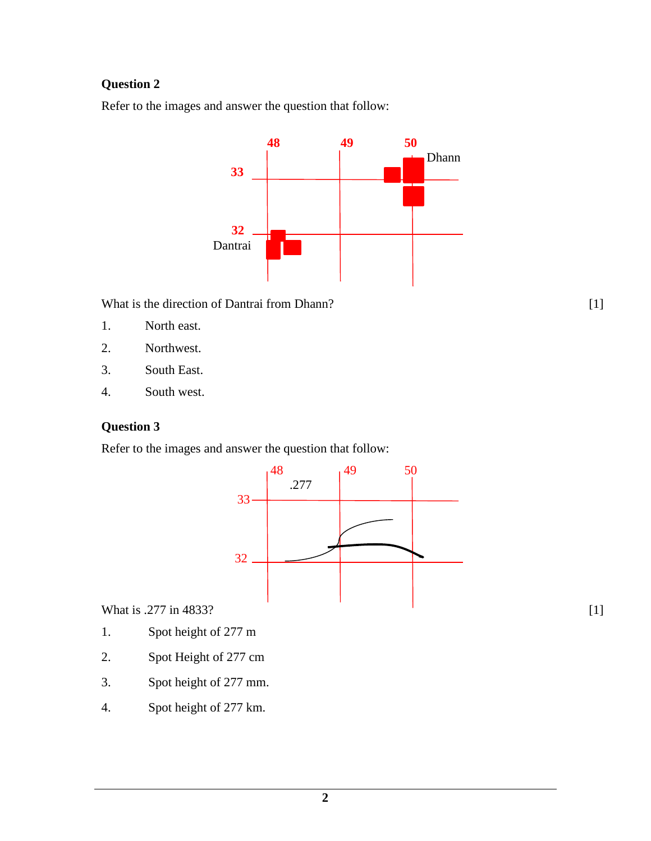Refer to the images and answer the question that follow:



What is the direction of Dantrai from Dhann?

- 1. North east.
- 2. Northwest.
- 3. South East.
- 4. South west.

#### **Question 3**

Refer to the images and answer the question that follow:



- 1. Spot height of 277 m
- 2. Spot Height of 277 cm
- 3. Spot height of 277 mm.
- 4. Spot height of 277 km.

[1]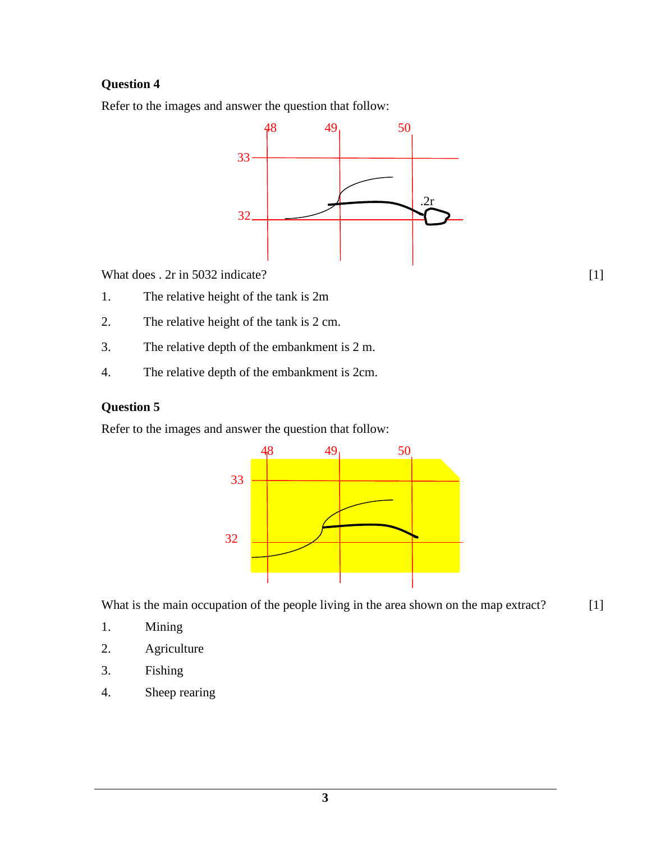Refer to the images and answer the question that follow:



What does . 2r in 5032 indicate? [1]

- 1. The relative height of the tank is 2m
- 2. The relative height of the tank is 2 cm.
- 3. The relative depth of the embankment is 2 m.
- 4. The relative depth of the embankment is 2cm.

### **Question 5**

Refer to the images and answer the question that follow:



What is the main occupation of the people living in the area shown on the map extract? [1]

- 1. Mining
- 2. Agriculture
- 3. Fishing
- 4. Sheep rearing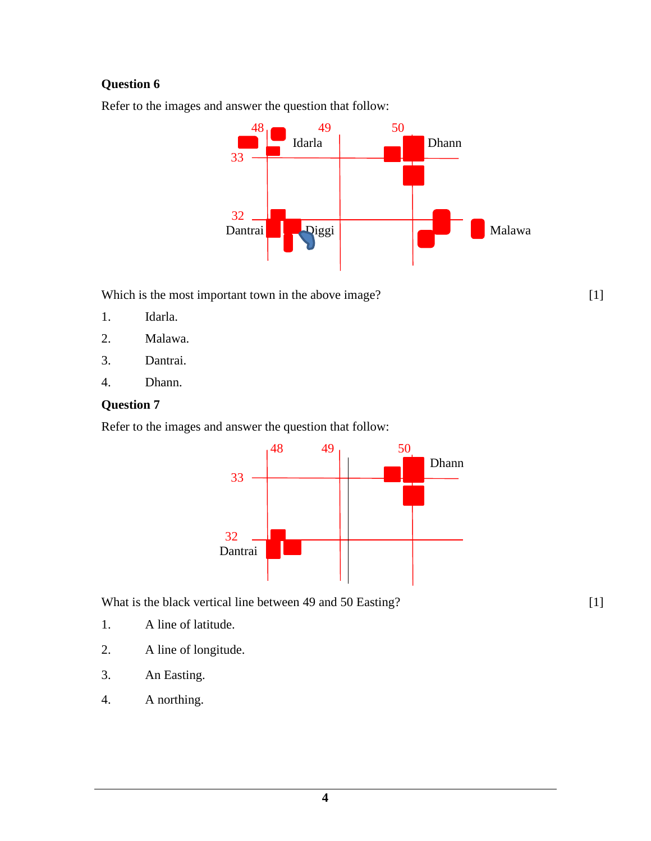Refer to the images and answer the question that follow:



Which is the most important town in the above image? [1]

- 1. Idarla.
- 2. Malawa.
- 3. Dantrai.
- 4. Dhann.

### **Question 7**

Refer to the images and answer the question that follow:



What is the black vertical line between 49 and 50 Easting? [1]

- 1. A line of latitude.
- 2. A line of longitude.
- 3. An Easting.
- 4. A northing.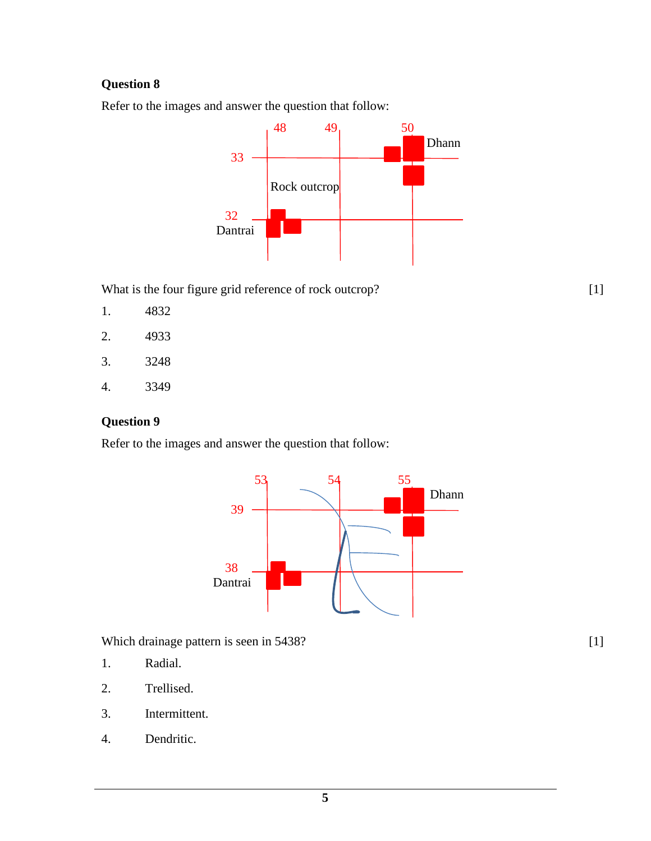Refer to the images and answer the question that follow:



What is the four figure grid reference of rock outcrop? [1]

- 1. 4832
- 2. 4933
- 3. 3248
- 4. 3349

### **Question 9**

Refer to the images and answer the question that follow:



Which drainage pattern is seen in 5438? [1]

- 1. Radial.
- 2. Trellised.
- 3. Intermittent.
- 4. Dendritic.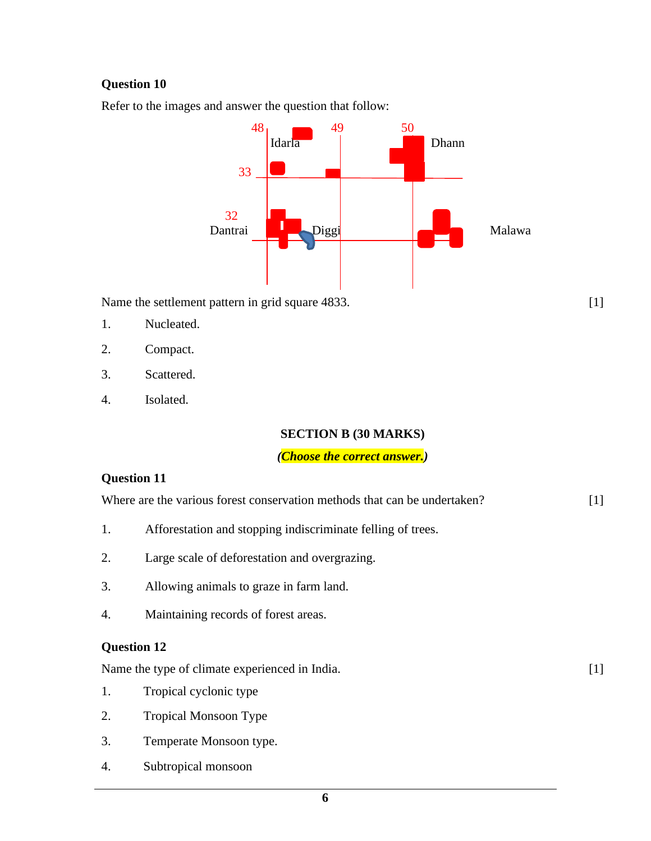Refer to the images and answer the question that follow:



Name the settlement pattern in grid square 4833. [1]

- 1. Nucleated.
- 2. Compact.
- 3. Scattered.
- 4. Isolated.

### **SECTION B (30 MARKS)**

#### *(Choose the correct answer.)*

#### **Question 11**

Where are the various forest conservation methods that can be undertaken? [1]

- 1. Afforestation and stopping indiscriminate felling of trees.
- 2. Large scale of deforestation and overgrazing.
- 3. Allowing animals to graze in farm land.
- 4. Maintaining records of forest areas.

#### **Question 12**

Name the type of climate experienced in India. [1]

- 1. Tropical cyclonic type
- 2. Tropical Monsoon Type
- 3. Temperate Monsoon type.
- 4. Subtropical monsoon

**6**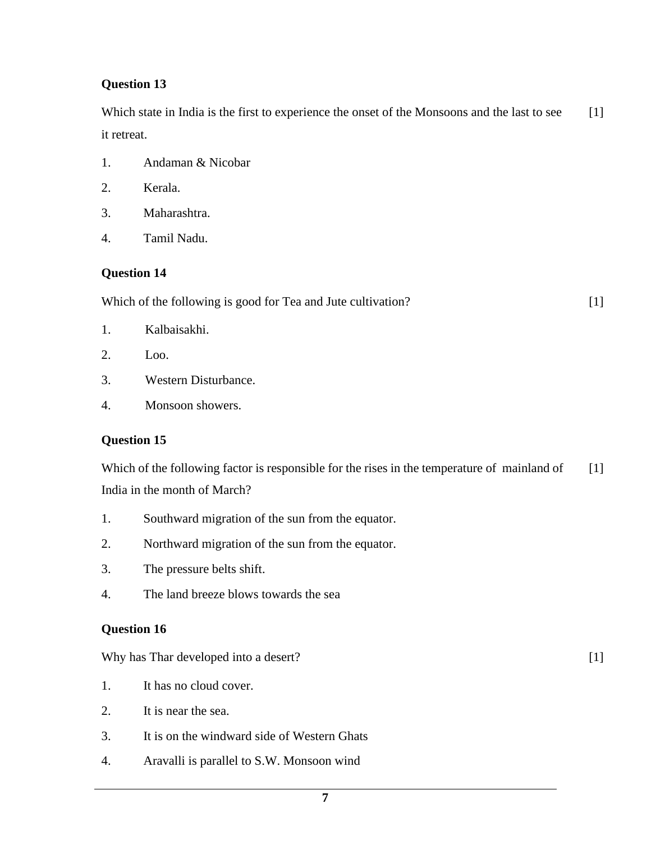Which state in India is the first to experience the onset of the Monsoons and the last to see it retreat. [1]

- 1. Andaman & Nicobar
- 2. Kerala.
- 3. Maharashtra.
- 4. Tamil Nadu.

#### **Question 14**

Which of the following is good for Tea and Jute cultivation? [1]

- 1. Kalbaisakhi.
- 2. Loo.
- 3. Western Disturbance.
- 4. Monsoon showers.

#### **Question 15**

Which of the following factor is responsible for the rises in the temperature of mainland of India in the month of March? [1]

- 1. Southward migration of the sun from the equator.
- 2. Northward migration of the sun from the equator.
- 3. The pressure belts shift.
- 4. The land breeze blows towards the sea

#### **Question 16**

Why has Thar developed into a desert? [1]

- 1. It has no cloud cover.
- 2. It is near the sea.
- 3. It is on the windward side of Western Ghats
- 4. Aravalli is parallel to S.W. Monsoon wind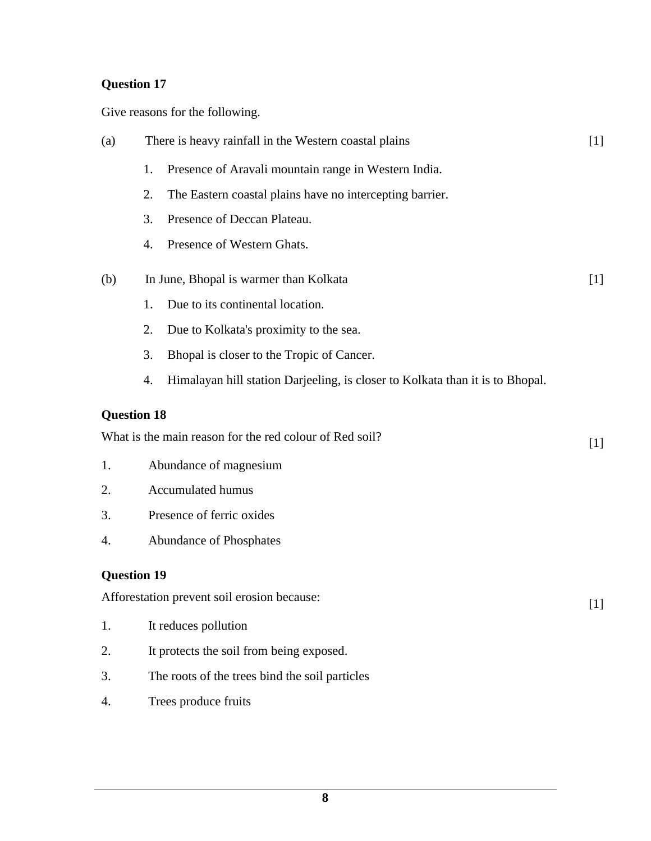Give reasons for the following.

| (a) | There is heavy rainfall in the Western coastal plains                               |       |  |  |  |
|-----|-------------------------------------------------------------------------------------|-------|--|--|--|
|     | Presence of Aravali mountain range in Western India.<br>1.                          |       |  |  |  |
|     | The Eastern coastal plains have no intercepting barrier.<br>2.                      |       |  |  |  |
|     | Presence of Deccan Plateau.<br>3.                                                   |       |  |  |  |
|     | Presence of Western Ghats.<br>4.                                                    |       |  |  |  |
| (b) | In June, Bhopal is warmer than Kolkata                                              |       |  |  |  |
|     | Due to its continental location.<br>1.                                              |       |  |  |  |
|     | 2.<br>Due to Kolkata's proximity to the sea.                                        |       |  |  |  |
|     | 3.<br>Bhopal is closer to the Tropic of Cancer.                                     |       |  |  |  |
|     | Himalayan hill station Darjeeling, is closer to Kolkata than it is to Bhopal.<br>4. |       |  |  |  |
|     | <b>Question 18</b>                                                                  |       |  |  |  |
|     | What is the main reason for the red colour of Red soil?                             | $[1]$ |  |  |  |
| 1.  | Abundance of magnesium                                                              |       |  |  |  |
| 2.  | <b>Accumulated humus</b>                                                            |       |  |  |  |
| 3.  | Presence of ferric oxides                                                           |       |  |  |  |
| 4.  | <b>Abundance of Phosphates</b>                                                      |       |  |  |  |
|     | <b>Question 19</b>                                                                  |       |  |  |  |
|     | Afforestation prevent soil erosion because:                                         | $[1]$ |  |  |  |
| 1.  | It reduces pollution                                                                |       |  |  |  |
| 2.  | It protects the soil from being exposed.                                            |       |  |  |  |
| 3.  | The roots of the trees bind the soil particles                                      |       |  |  |  |
| 4.  | Trees produce fruits                                                                |       |  |  |  |
|     |                                                                                     |       |  |  |  |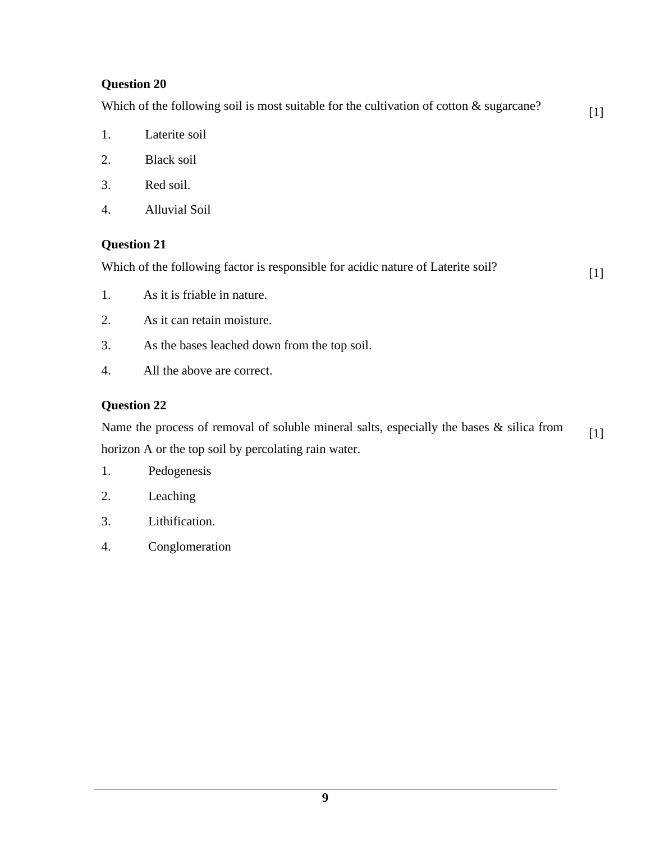Which of the following soil is most suitable for the cultivation of cotton  $\&$  sugarcane?

- 1. Laterite soil
- 2. Black soil
- 3. Red soil.
- 4. Alluvial Soil

#### **Question 21**

Which of the following factor is responsible for acidic nature of Laterite soil? [1]

- 1. As it is friable in nature.
- 2. As it can retain moisture.
- 3. As the bases leached down from the top soil.
- 4. All the above are correct.

#### **Question 22**

Name the process of removal of soluble mineral salts, especially the bases & silica from horizon A or the top soil by percolating rain water. [1]

- 1. Pedogenesis
- 2. Leaching
- 3. Lithification.
- 4. Conglomeration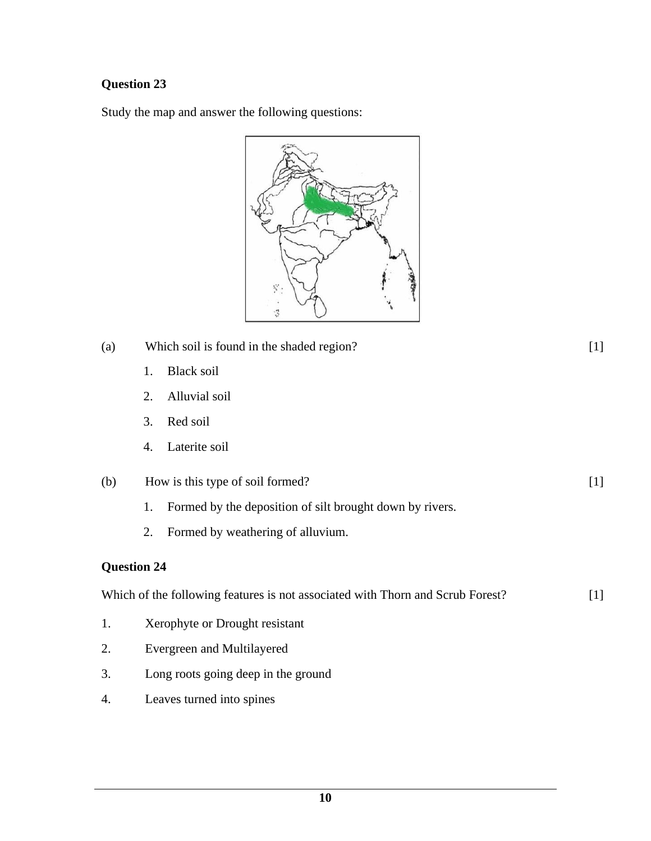Study the map and answer the following questions:



[1]

[1]

- (a) Which soil is found in the shaded region?
	- 1. Black soil
	- 2. Alluvial soil
	- 3. Red soil
	- 4. Laterite soil

(b) How is this type of soil formed?

- 1. Formed by the deposition of silt brought down by rivers.
- 2. Formed by weathering of alluvium.

### **Question 24**

Which of the following features is not associated with Thorn and Scrub Forest? [1]

- 1. Xerophyte or Drought resistant
- 2. Evergreen and Multilayered
- 3. Long roots going deep in the ground
- 4. Leaves turned into spines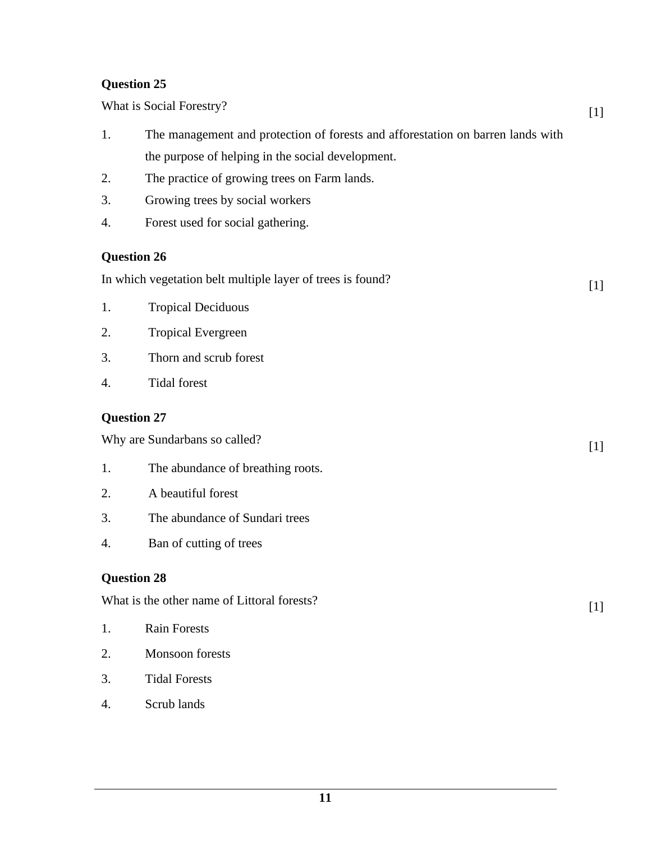What is Social Forestry? [1]

- 1. The management and protection of forests and afforestation on barren lands with the purpose of helping in the social development.
- 2. The practice of growing trees on Farm lands.
- 3. Growing trees by social workers
- 4. Forest used for social gathering.

#### **Question 26**

In which vegetation belt multiple layer of trees is found? [1]

1. 2. 3. 4. Tropical Deciduous Tropical Evergreen Thorn and scrub forest Tidal forest

#### **Question 27**

Why are Sundarbans so called? [1]

- 1. The abundance of breathing roots.
- 2. A beautiful forest
- 3. The abundance of Sundari trees
- 4. Ban of cutting of trees

#### **Question 28**

What is the other name of Littoral forests? [1]

- 1. Rain Forests
- 2. Monsoon forests
- 3. Tidal Forests
- 4. Scrub lands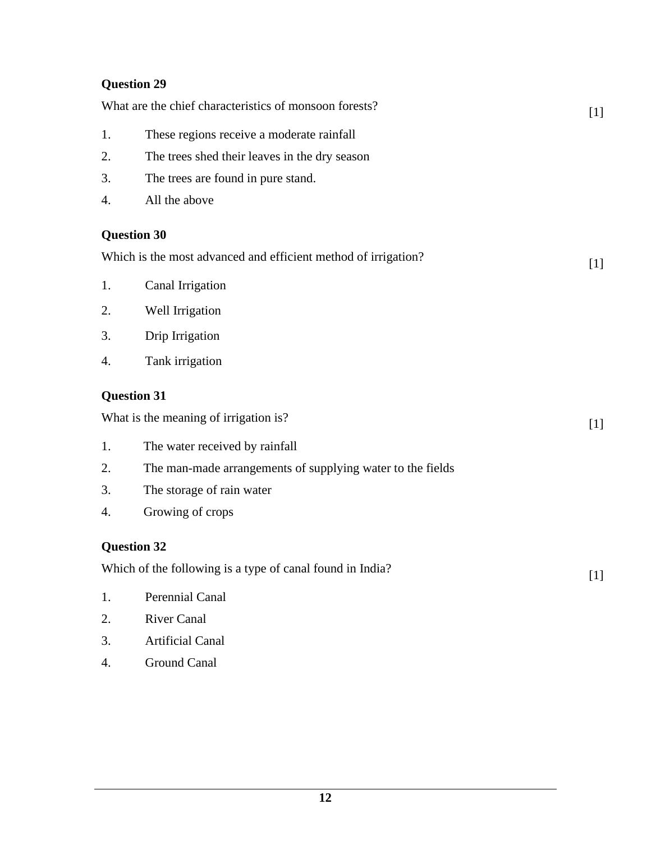|    | What are the chief characteristics of monsoon forests?         | $[1]$ |
|----|----------------------------------------------------------------|-------|
| 1. | These regions receive a moderate rainfall                      |       |
| 2. | The trees shed their leaves in the dry season                  |       |
| 3. | The trees are found in pure stand.                             |       |
| 4. | All the above                                                  |       |
|    | <b>Question 30</b>                                             |       |
|    | Which is the most advanced and efficient method of irrigation? | $[1]$ |
| 1. | Canal Irrigation                                               |       |
| 2. | Well Irrigation                                                |       |
| 3. | Drip Irrigation                                                |       |
| 4. | Tank irrigation                                                |       |
|    | <b>Question 31</b>                                             |       |
|    | What is the meaning of irrigation is?                          | $[1]$ |
| 1. | The water received by rainfall                                 |       |
| 2. | The man-made arrangements of supplying water to the fields     |       |
| 3. | The storage of rain water                                      |       |
| 4. | Growing of crops                                               |       |
|    | <b>Question 32</b>                                             |       |
|    | Which of the following is a type of canal found in India?      | $[1]$ |
| 1. | Perennial Canal                                                |       |
| 2. | <b>River Canal</b>                                             |       |
| 3. | <b>Artificial Canal</b>                                        |       |

4. Ground Canal